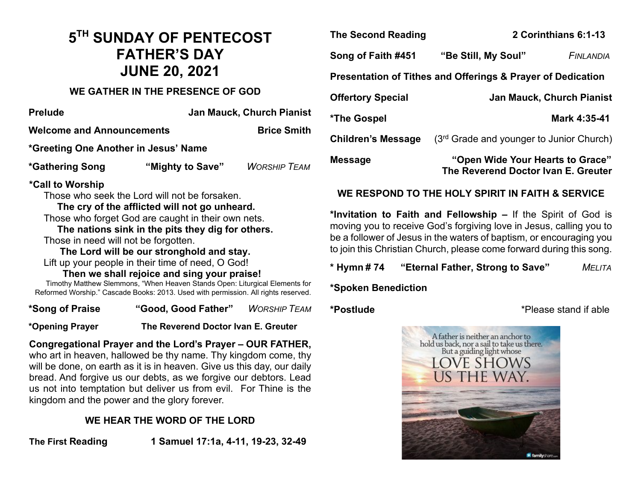## **5TH SUNDAY OF PENTECOST FATHER'S DAY JUNE 20, 2021**

#### **WE GATHER IN THE PRESENCE OF GOD**

| <b>Prelude</b>                       | <b>Jan Mauck, Church Pianist</b> |                     |  |
|--------------------------------------|----------------------------------|---------------------|--|
| <b>Welcome and Announcements</b>     |                                  | <b>Brice Smith</b>  |  |
| *Greeting One Another in Jesus' Name |                                  |                     |  |
| *Gathering Song                      | "Mighty to Save"                 | <b>WORSHIP TEAM</b> |  |

#### **\*Call to Worship**

Those who seek the Lord will not be forsaken.

#### **The cry of the afflicted will not go unheard.**

Those who forget God are caught in their own nets.

 **The nations sink in the pits they dig for others.** Those in need will not be forgotten.

**The Lord will be our stronghold and stay.**

Lift up your people in their time of need, O God!

 **Then we shall rejoice and sing your praise!** Timothy Matthew Slemmons, "When Heaven Stands Open: Liturgical Elements for Reformed Worship." Cascade Books: 2013. Used with permission. All rights reserved.

**\*Song of Praise "Good, Good Father"** *WORSHIP TEAM*

**\*Opening Prayer The Reverend Doctor Ivan E. Greuter** 

**Congregational Prayer and the Lord's Prayer – OUR FATHER,**  who art in heaven, hallowed be thy name. Thy kingdom come, thy will be done, on earth as it is in heaven. Give us this day, our daily bread. And forgive us our debts, as we forgive our debtors. Lead us not into temptation but deliver us from evil. For Thine is the kingdom and the power and the glory forever.

### **WE HEAR THE WORD OF THE LORD**

**The First Reading 1 Samuel 17:1a, 4-11, 19-23, 32-49** 

| <b>The Second Reading</b>                                   | 2 Corinthians 6:1-13                                                    |                                  |  |
|-------------------------------------------------------------|-------------------------------------------------------------------------|----------------------------------|--|
| Song of Faith #451                                          | "Be Still, My Soul"                                                     | <b>FINLANDIA</b>                 |  |
| Presentation of Tithes and Offerings & Prayer of Dedication |                                                                         |                                  |  |
| <b>Offertory Special</b>                                    |                                                                         | <b>Jan Mauck, Church Pianist</b> |  |
| *The Gospel                                                 |                                                                         | Mark 4:35-41                     |  |
| <b>Children's Message</b>                                   | $(3rd$ Grade and younger to Junior Church)                              |                                  |  |
| <b>Message</b>                                              | "Open Wide Your Hearts to Grace"<br>The Reverend Doctor Ivan E. Greuter |                                  |  |

#### **WE RESPOND TO THE HOLY SPIRIT IN FAITH & SERVICE**

**\*Invitation to Faith and Fellowship –** If the Spirit of God is moving you to receive God's forgiving love in Jesus, calling you to be a follower of Jesus in the waters of baptism, or encouraging you to join this Christian Church, please come forward during this song.

**\* Hymn # 74 "Eternal Father, Strong to Save"** *MELITA*

**\*Spoken Benediction**

**\*Postlude** \*Please stand if able